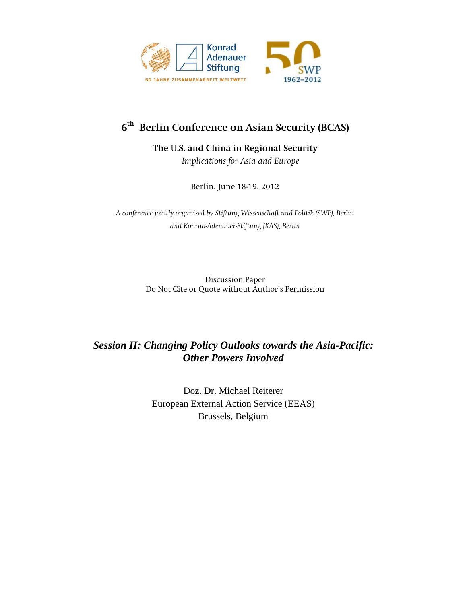

# **6th Berlin Conference on Asian Security (BCAS)**

**The U.S. and China in Regional Security** 

*Implications for Asia and Europe*

Berlin, June 18-19, 2012

*A conference jointly organised by Stiftung Wissenschaft und Politik (SWP), Berlin and Konrad-Adenauer-Stiftung (KAS), Berlin*

> Discussion Paper Do Not Cite or Quote without Author's Permission

## *Session II: Changing Policy Outlooks towards the Asia-Pacific: Other Powers Involved*

Doz. Dr. Michael Reiterer European External Action Service (EEAS) Brussels, Belgium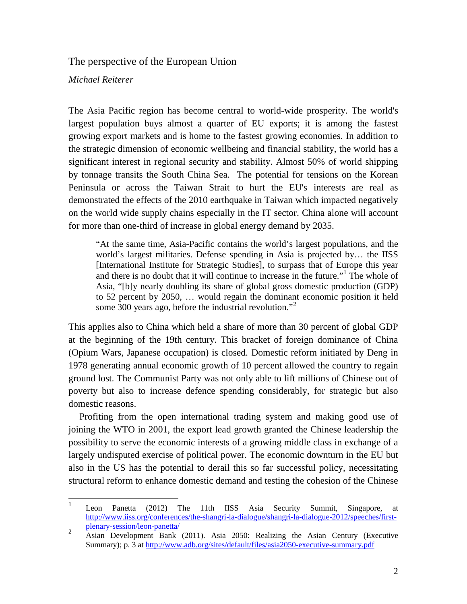The perspective of the European Union

*Michael Reiterer*

The Asia Pacific region has become central to world-wide prosperity. The world's largest population buys almost a quarter of EU exports; it is among the fastest growing export markets and is home to the fastest growing economies. In addition to the strategic dimension of economic wellbeing and financial stability, the world has a significant interest in regional security and stability. Almost 50% of world shipping by tonnage transits the South China Sea. The potential for tensions on the Korean Peninsula or across the Taiwan Strait to hurt the EU's interests are real as demonstrated the effects of the 2010 earthquake in Taiwan which impacted negatively on the world wide supply chains especially in the IT sector. China alone will account for more than one-third of increase in global energy demand by 2035.

"At the same time, Asia-Pacific contains the world's largest populations, and the world's largest militaries. Defense spending in Asia is projected by… the IISS [International Institute for Strategic Studies], to surpass that of Europe this year and there is no doubt that it will continue to increase in the future."[1](#page-1-0) The whole of Asia, "[b]y nearly doubling its share of global gross domestic production (GDP) to 52 percent by 2050, … would regain the dominant economic position it held some 300 years ago, before the industrial revolution."<sup>[2](#page-1-1)</sup>

This applies also to China which held a share of more than 30 percent of global GDP at the beginning of the 19th century. This bracket of foreign dominance of China (Opium Wars, Japanese occupation) is closed. Domestic reform initiated by Deng in 1978 generating annual economic growth of 10 percent allowed the country to regain ground lost. The Communist Party was not only able to lift millions of Chinese out of poverty but also to increase defence spending considerably, for strategic but also domestic reasons.

Profiting from the open international trading system and making good use of joining the WTO in 2001, the export lead growth granted the Chinese leadership the possibility to serve the economic interests of a growing middle class in exchange of a largely undisputed exercise of political power. The economic downturn in the EU but also in the US has the potential to derail this so far successful policy, necessitating structural reform to enhance domestic demand and testing the cohesion of the Chinese

<span id="page-1-0"></span> <sup>1</sup> Leon Panetta (2012) The 11th IISS Asia Security Summit, Singapore, at [http://www.iiss.org/conferences/the-shangri-la-dialogue/shangri-la-dialogue-2012/speeches/first-](http://www.iiss.org/conferences/the-shangri-la-dialogue/shangri-la-dialogue-2012/speeches/first-plenary-session/leon-panetta/)

<span id="page-1-1"></span>[plenary-session/leon-panetta/](http://www.iiss.org/conferences/the-shangri-la-dialogue/shangri-la-dialogue-2012/speeches/first-plenary-session/leon-panetta/)<br>
Asian Development Bank (2011). Asia 2050: Realizing the Asian Century (Executive Summary); p. 3 at<http://www.adb.org/sites/default/files/asia2050-executive-summary.pdf>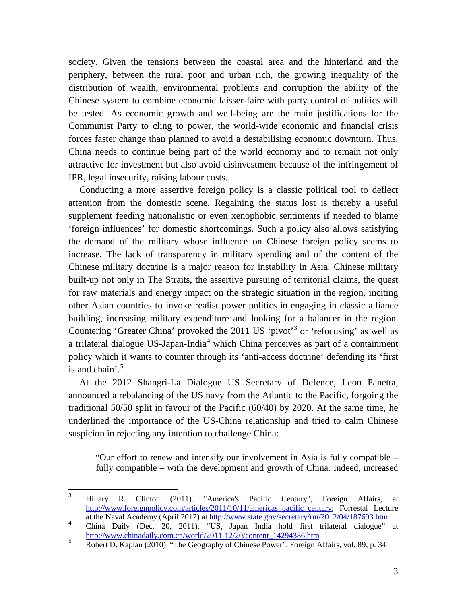society. Given the tensions between the coastal area and the hinterland and the periphery, between the rural poor and urban rich, the growing inequality of the distribution of wealth, environmental problems and corruption the ability of the Chinese system to combine economic laisser-faire with party control of politics will be tested. As economic growth and well-being are the main justifications for the Communist Party to cling to power, the world-wide economic and financial crisis forces faster change than planned to avoid a destabilising economic downturn. Thus, China needs to continue being part of the world economy and to remain not only attractive for investment but also avoid disinvestment because of the infringement of IPR, legal insecurity, raising labour costs...

Conducting a more assertive foreign policy is a classic political tool to deflect attention from the domestic scene. Regaining the status lost is thereby a useful supplement feeding nationalistic or even xenophobic sentiments if needed to blame 'foreign influences' for domestic shortcomings. Such a policy also allows satisfying the demand of the military whose influence on Chinese foreign policy seems to increase. The lack of transparency in military spending and of the content of the Chinese military doctrine is a major reason for instability in Asia. Chinese military built-up not only in The Straits, the assertive pursuing of territorial claims, the quest for raw materials and energy impact on the strategic situation in the region, inciting other Asian countries to invoke realist power politics in engaging in classic alliance building, increasing military expenditure and looking for a balancer in the region. Countering 'Greater China' provoked the 2011 US 'pivot'<sup>[3](#page-2-0)</sup> or 'refocusing' as well as a trilateral dialogue US-Japan-India<sup>[4](#page-2-1)</sup> which China perceives as part of a containment policy which it wants to counter through its 'anti-access doctrine' defending its 'first island chain'. $5$ 

At the 2012 Shangri-La Dialogue US Secretary of Defence, Leon Panetta, announced a rebalancing of the US navy from the Atlantic to the Pacific, forgoing the traditional 50/50 split in favour of the Pacific (60/40) by 2020. At the same time, he underlined the importance of the US-China relationship and tried to calm Chinese suspicion in rejecting any intention to challenge China:

"Our effort to renew and intensify our involvement in Asia is fully compatible – fully compatible – with the development and growth of China. Indeed, increased

<span id="page-2-0"></span> <sup>3</sup> Hillary R. Clinton (2011). "America's Pacific Century", Foreign Affairs, at [http://www.foreignpolicy.com/articles/2011/10/11/americas\\_pacific\\_century;](http://www.foreignpolicy.com/articles/2011/10/11/americas_pacific_century) Forrestal Lecture at the Naval Academy (April 2012) at http://www.state.gov/secretary/rm/2012/04/187693.htm

<span id="page-2-1"></span>at the Naval Academy (April 2012) at  $\frac{mg}{m}$ , www.state.gov/secretary/rm/2012/04/167693.htm<br>
china Daily (Dec. 20, 2011). "US, Japan India hold first trilateral dialogue" at<br>
http://www.chinadaily.com.cn/world/2011-12/2

<span id="page-2-2"></span><sup>&</sup>lt;sup>5</sup> Robert D. Kaplan (2010). "The Geography of Chinese Power". Foreign Affairs, vol. 89; p. 34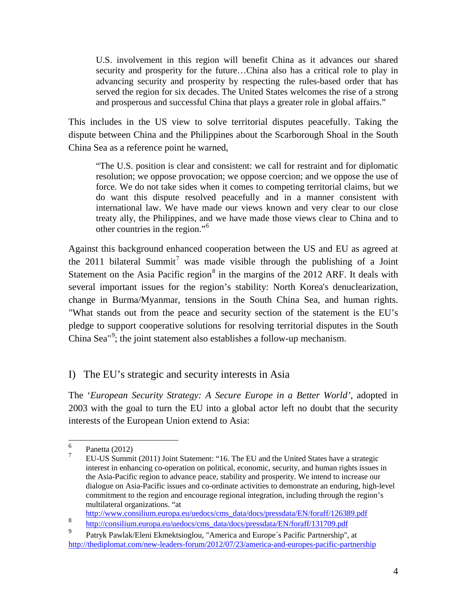U.S. involvement in this region will benefit China as it advances our shared security and prosperity for the future…China also has a critical role to play in advancing security and prosperity by respecting the rules-based order that has served the region for six decades. The United States welcomes the rise of a strong and prosperous and successful China that plays a greater role in global affairs."

This includes in the US view to solve territorial disputes peacefully. Taking the dispute between China and the Philippines about the Scarborough Shoal in the South China Sea as a reference point he warned,

"The U.S. position is clear and consistent: we call for restraint and for diplomatic resolution; we oppose provocation; we oppose coercion; and we oppose the use of force. We do not take sides when it comes to competing territorial claims, but we do want this dispute resolved peacefully and in a manner consistent with international law. We have made our views known and very clear to our close treaty ally, the Philippines, and we have made those views clear to China and to other countries in the region."[6](#page-3-0)

Against this background enhanced cooperation between the US and EU as agreed at the 2011 bilateral Summit<sup>[7](#page-3-1)</sup> was made visible through the publishing of a Joint Statement on the Asia Pacific region<sup>[8](#page-3-2)</sup> in the margins of the 2012 ARF. It deals with several important issues for the region's stability: North Korea's denuclearization, change in Burma/Myanmar, tensions in the South China Sea, and human rights. "What stands out from the peace and security section of the statement is the EU's pledge to support cooperative solutions for resolving territorial disputes in the South China Sea"<sup>[9](#page-3-3)</sup>; the joint statement also establishes a follow-up mechanism.

## I) The EU's strategic and security interests in Asia

The '*European Security Strategy: A Secure Europe in a Better World'*, adopted in 2003 with the goal to turn the EU into a global actor left no doubt that the security interests of the European Union extend to Asia:

[http://www.consilium.europa.eu/uedocs/cms\\_data/docs/pressdata/EN/foraff/126389.pdf](http://www.consilium.europa.eu/uedocs/cms_data/docs/pressdata/EN/foraff/126389.pdf)

<span id="page-3-1"></span><span id="page-3-0"></span><sup>&</sup>lt;sup>6</sup> Panetta (2012)<br><sup>7</sup> EU-US Summit (2011) Joint Statement: "16. The EU and the United States have a strategic interest in enhancing co-operation on political, economic, security, and human rights issues in the Asia-Pacific region to advance peace, stability and prosperity. We intend to increase our dialogue on Asia-Pacific issues and co-ordinate activities to demonstrate an enduring, high-level commitment to the region and encourage regional integration, including through the region's multilateral organizations. "at

<span id="page-3-2"></span><sup>8</sup> http://consilium.europa.eu/uedocs/cms\_data/docs/pressdata/EN/foraff/131709.pdf

<span id="page-3-3"></span>Patryk Pawlak/Eleni Ekmektsioglou, "America and Europe´s Pacific Partnership", at <http://thediplomat.com/new-leaders-forum/2012/07/23/america-and-europes-pacific-partnership>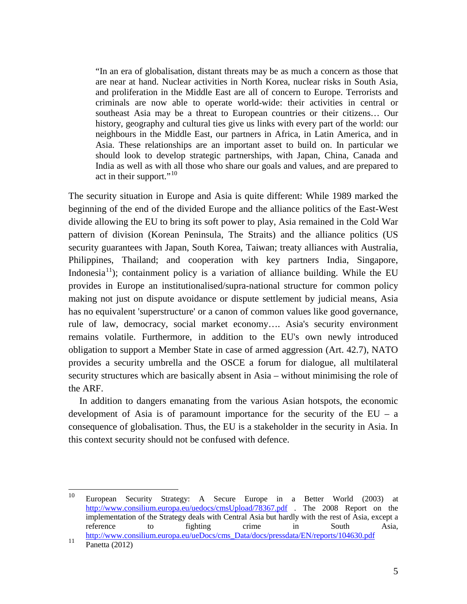"In an era of globalisation, distant threats may be as much a concern as those that are near at hand. Nuclear activities in North Korea, nuclear risks in South Asia, and proliferation in the Middle East are all of concern to Europe. Terrorists and criminals are now able to operate world-wide: their activities in central or southeast Asia may be a threat to European countries or their citizens… Our history, geography and cultural ties give us links with every part of the world: our neighbours in the Middle East, our partners in Africa, in Latin America, and in Asia. These relationships are an important asset to build on. In particular we should look to develop strategic partnerships, with Japan, China, Canada and India as well as with all those who share our goals and values, and are prepared to act in their support."<sup>[10](#page-4-0)</sup>

The security situation in Europe and Asia is quite different: While 1989 marked the beginning of the end of the divided Europe and the alliance politics of the East-West divide allowing the EU to bring its soft power to play, Asia remained in the Cold War pattern of division (Korean Peninsula, The Straits) and the alliance politics (US security guarantees with Japan, South Korea, Taiwan; treaty alliances with Australia, Philippines, Thailand; and cooperation with key partners India, Singapore, Indonesia<sup>[11](#page-4-1)</sup>); containment policy is a variation of alliance building. While the EU provides in Europe an institutionalised/supra-national structure for common policy making not just on dispute avoidance or dispute settlement by judicial means, Asia has no equivalent 'superstructure' or a canon of common values like good governance, rule of law, democracy, social market economy…. Asia's security environment remains volatile. Furthermore, in addition to the EU's own newly introduced obligation to support a Member State in case of armed aggression (Art. 42.7), NATO provides a security umbrella and the OSCE a forum for dialogue, all multilateral security structures which are basically absent in Asia – without minimising the role of the ARF.

In addition to dangers emanating from the various Asian hotspots, the economic development of Asia is of paramount importance for the security of the  $EU - a$ consequence of globalisation. Thus, the EU is a stakeholder in the security in Asia. In this context security should not be confused with defence.

<span id="page-4-0"></span> <sup>10</sup> European Security Strategy: A Secure Europe in a Better World (2003) at <http://www.consilium.europa.eu/uedocs/cmsUpload/78367.pdf> . The 2008 Report on the implementation of the Strategy deals with Central Asia but hardly with the rest of Asia, except a reference to fighting crime in South Asia, [http://www.consilium.europa.eu/ueDocs/cms\\_Data/docs/pressdata/EN/reports/104630.pdf](http://www.consilium.europa.eu/ueDocs/cms_Data/docs/pressdata/EN/reports/104630.pdf) Panetta (2012)

<span id="page-4-1"></span>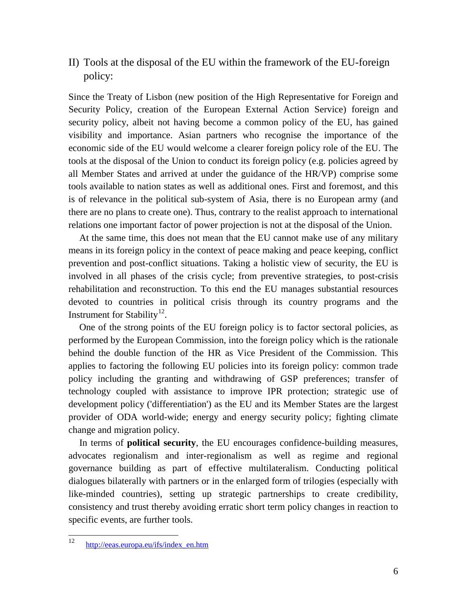II) Tools at the disposal of the EU within the framework of the EU-foreign policy:

Since the Treaty of Lisbon (new position of the High Representative for Foreign and Security Policy, creation of the European External Action Service) foreign and security policy, albeit not having become a common policy of the EU, has gained visibility and importance. Asian partners who recognise the importance of the economic side of the EU would welcome a clearer foreign policy role of the EU. The tools at the disposal of the Union to conduct its foreign policy (e.g. policies agreed by all Member States and arrived at under the guidance of the HR/VP) comprise some tools available to nation states as well as additional ones. First and foremost, and this is of relevance in the political sub-system of Asia, there is no European army (and there are no plans to create one). Thus, contrary to the realist approach to international relations one important factor of power projection is not at the disposal of the Union.

At the same time, this does not mean that the EU cannot make use of any military means in its foreign policy in the context of peace making and peace keeping, conflict prevention and post-conflict situations. Taking a holistic view of security, the EU is involved in all phases of the crisis cycle; from preventive strategies, to post-crisis rehabilitation and reconstruction. To this end the EU manages substantial resources devoted to countries in political crisis through its country programs and the Instrument for Stability<sup>[12](#page-5-0)</sup>.

One of the strong points of the EU foreign policy is to factor sectoral policies, as performed by the European Commission, into the foreign policy which is the rationale behind the double function of the HR as Vice President of the Commission. This applies to factoring the following EU policies into its foreign policy: common trade policy including the granting and withdrawing of GSP preferences; transfer of technology coupled with assistance to improve IPR protection; strategic use of development policy ('differentiation') as the EU and its Member States are the largest provider of ODA world-wide; energy and energy security policy; fighting climate change and migration policy.

In terms of **political security**, the EU encourages confidence-building measures, advocates regionalism and inter-regionalism as well as regime and regional governance building as part of effective multilateralism. Conducting political dialogues bilaterally with partners or in the enlarged form of trilogies (especially with like-minded countries), setting up strategic partnerships to create credibility, consistency and trust thereby avoiding erratic short term policy changes in reaction to specific events, are further tools.

<span id="page-5-0"></span> <sup>12</sup> [http://eeas.europa.eu/ifs/index\\_en.htm](http://eeas.europa.eu/ifs/index_en.htm)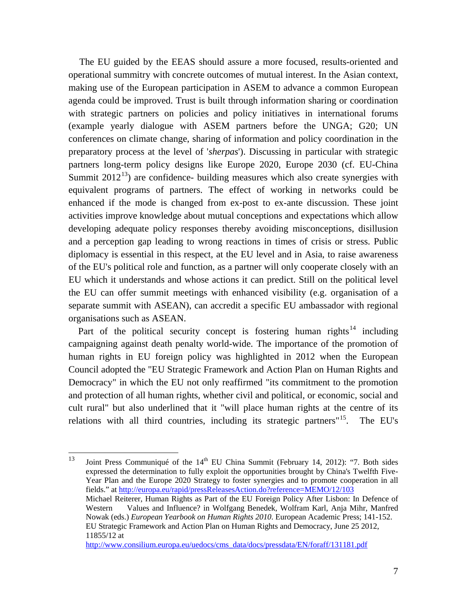The EU guided by the EEAS should assure a more focused, results-oriented and operational summitry with concrete outcomes of mutual interest. In the Asian context, making use of the European participation in ASEM to advance a common European agenda could be improved. Trust is built through information sharing or coordination with strategic partners on policies and policy initiatives in international forums (example yearly dialogue with ASEM partners before the UNGA; G20; UN conferences on climate change, sharing of information and policy coordination in the preparatory process at the level of '*sherpas*'). Discussing in particular with strategic partners long-term policy designs like Europe 2020, Europe 2030 (cf. EU-China Summit  $2012^{13}$  $2012^{13}$  $2012^{13}$ ) are confidence- building measures which also create synergies with equivalent programs of partners. The effect of working in networks could be enhanced if the mode is changed from ex-post to ex-ante discussion. These joint activities improve knowledge about mutual conceptions and expectations which allow developing adequate policy responses thereby avoiding misconceptions, disillusion and a perception gap leading to wrong reactions in times of crisis or stress. Public diplomacy is essential in this respect, at the EU level and in Asia, to raise awareness of the EU's political role and function, as a partner will only cooperate closely with an EU which it understands and whose actions it can predict. Still on the political level the EU can offer summit meetings with enhanced visibility (e.g. organisation of a separate summit with ASEAN), can accredit a specific EU ambassador with regional organisations such as ASEAN.

Part of the political security concept is fostering human rights<sup>[14](#page-6-1)</sup> including campaigning against death penalty world-wide. The importance of the promotion of human rights in EU foreign policy was highlighted in 2012 when the European Council adopted the "EU Strategic Framework and Action Plan on Human Rights and Democracy" in which the EU not only reaffirmed "its commitment to the promotion and protection of all human rights, whether civil and political, or economic, social and cult rural" but also underlined that it "will place human rights at the centre of its relations with all third countries, including its strategic partners"<sup>[15](#page-6-2)</sup>. The EU's

<span id="page-6-2"></span><span id="page-6-1"></span><span id="page-6-0"></span><sup>&</sup>lt;sup>13</sup> Joint Press Communiqué of the  $14<sup>th</sup>$  EU China Summit (February 14, 2012): "7. Both sides expressed the determination to fully exploit the opportunities brought by China's Twelfth Five-Year Plan and the Europe 2020 Strategy to foster synergies and to promote cooperation in all fields." at <http://europa.eu/rapid/pressReleasesAction.do?reference=MEMO/12/103> Michael Reiterer, Human Rights as Part of the EU Foreign Policy After Lisbon: In Defence of Western Values and Influence? in Wolfgang Benedek, Wolfram Karl, Anja Mihr, Manfred Nowak (eds.) *European Yearbook on Human Rights 2010*. European Academic Press; 141-152. EU Strategic Framework and Action Plan on Human Rights and Democracy, June 25 2012, 11855/12 at [http://www.consilium.europa.eu/uedocs/cms\\_data/docs/pressdata/EN/foraff/131181.pdf](http://www.consilium.europa.eu/uedocs/cms_data/docs/pressdata/EN/foraff/131181.pdf)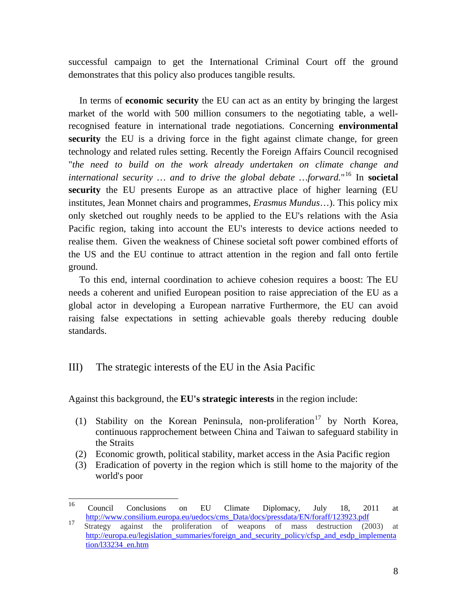successful campaign to get the International Criminal Court off the ground demonstrates that this policy also produces tangible results.

In terms of **economic security** the EU can act as an entity by bringing the largest market of the world with 500 million consumers to the negotiating table, a wellrecognised feature in international trade negotiations. Concerning **environmental security** the EU is a driving force in the fight against climate change, for green technology and related rules setting. Recently the Foreign Affairs Council recognised "*the need to build on the work already undertaken on climate change and international security … and to drive the global debate …forward.*"[16](#page-7-0) In **societal security** the EU presents Europe as an attractive place of higher learning (EU institutes, Jean Monnet chairs and programmes, *Erasmus Mundus*…). This policy mix only sketched out roughly needs to be applied to the EU's relations with the Asia Pacific region, taking into account the EU's interests to device actions needed to realise them. Given the weakness of Chinese societal soft power combined efforts of the US and the EU continue to attract attention in the region and fall onto fertile ground.

To this end, internal coordination to achieve cohesion requires a boost: The EU needs a coherent and unified European position to raise appreciation of the EU as a global actor in developing a European narrative Furthermore, the EU can avoid raising false expectations in setting achievable goals thereby reducing double standards.

#### III) The strategic interests of the EU in the Asia Pacific

Against this background, the **EU's strategic interests** in the region include:

- (1) Stability on the Korean Peninsula, non-proliferation<sup>[17](#page-7-1)</sup> by North Korea, continuous rapprochement between China and Taiwan to safeguard stability in the Straits
- (2) Economic growth, political stability, market access in the Asia Pacific region
- (3) Eradication of poverty in the region which is still home to the majority of the world's poor

<span id="page-7-0"></span> <sup>16</sup> Council Conclusions on EU Climate Diplomacy, July 18, 2011 at [http://www.consilium.europa.eu/uedocs/cms\\_Data/docs/pressdata/EN/foraff/123923.pdf](http://www.consilium.europa.eu/uedocs/cms_Data/docs/pressdata/EN/foraff/123923.pdf)<br>Strategy against the proliferation of weapons of mass destruction (2003) at

<span id="page-7-1"></span>[http://europa.eu/legislation\\_summaries/foreign\\_and\\_security\\_policy/cfsp\\_and\\_esdp\\_implementa](http://europa.eu/legislation_summaries/foreign_and_security_policy/cfsp_and_esdp_implementation/l33234_en.htm) [tion/l33234\\_en.htm](http://europa.eu/legislation_summaries/foreign_and_security_policy/cfsp_and_esdp_implementation/l33234_en.htm)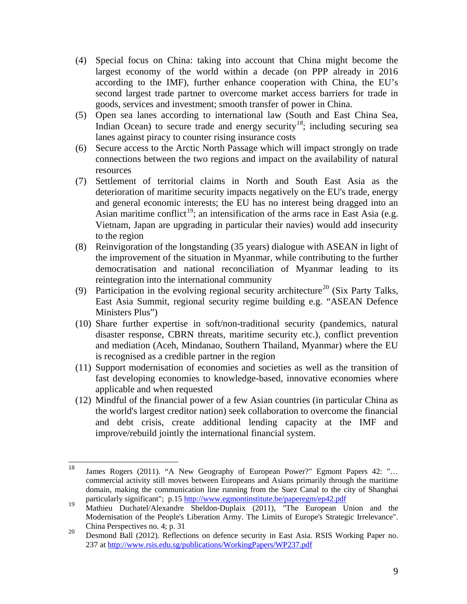- (4) Special focus on China: taking into account that China might become the largest economy of the world within a decade (on PPP already in 2016 according to the IMF), further enhance cooperation with China, the EU's second largest trade partner to overcome market access barriers for trade in goods, services and investment; smooth transfer of power in China.
- (5) Open sea lanes according to international law (South and East China Sea, Indian Ocean) to secure trade and energy security<sup>[18](#page-8-0)</sup>; including securing sea lanes against piracy to counter rising insurance costs
- (6) Secure access to the Arctic North Passage which will impact strongly on trade connections between the two regions and impact on the availability of natural resources
- (7) Settlement of territorial claims in North and South East Asia as the deterioration of maritime security impacts negatively on the EU's trade, energy and general economic interests; the EU has no interest being dragged into an Asian maritime conflict<sup>[19](#page-8-1)</sup>; an intensification of the arms race in East Asia (e.g. Vietnam, Japan are upgrading in particular their navies) would add insecurity to the region
- (8) Reinvigoration of the longstanding (35 years) dialogue with ASEAN in light of the improvement of the situation in Myanmar, while contributing to the further democratisation and national reconciliation of Myanmar leading to its reintegration into the international community
- (9) Participation in the evolving regional security architecture<sup>[20](#page-8-2)</sup> (Six Party Talks, East Asia Summit, regional security regime building e.g. "ASEAN Defence Ministers Plus")
- (10) Share further expertise in soft/non-traditional security (pandemics, natural disaster response, CBRN threats, maritime security etc.), conflict prevention and mediation (Aceh, Mindanao, Southern Thailand, Myanmar) where the EU is recognised as a credible partner in the region
- (11) Support modernisation of economies and societies as well as the transition of fast developing economies to knowledge-based, innovative economies where applicable and when requested
- (12) Mindful of the financial power of a few Asian countries (in particular China as the world's largest creditor nation) seek collaboration to overcome the financial and debt crisis, create additional lending capacity at the IMF and improve/rebuild jointly the international financial system.

<span id="page-8-0"></span> <sup>18</sup> James Rogers (2011). "A New Geography of European Power?" Egmont Papers 42: "… commercial activity still moves between Europeans and Asians primarily through the maritime domain, making the communication line running from the Suez Canal to the city of Shanghai particularly significant"; p.15 http://www.egmontinstitute.be/paperegm/ep42.pdf

<span id="page-8-1"></span><sup>&</sup>lt;sup>19</sup> Mathieu Duchatel/Alexandre Sheldon-Duplaix (2011), "The European Union and the Modernisation of the People's Liberation Army. The Limits of Europe's Strategic Irrelevance".

<span id="page-8-2"></span><sup>20</sup> China Perspectives no. 4; p. 31 Desmond Ball (2012). Reflections on defence security in East Asia. RSIS Working Paper no. 237 at<http://www.rsis.edu.sg/publications/WorkingPapers/WP237.pdf>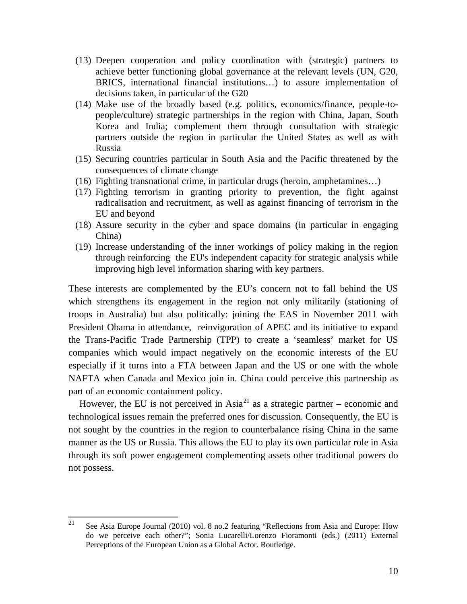- (13) Deepen cooperation and policy coordination with (strategic) partners to achieve better functioning global governance at the relevant levels (UN, G20, BRICS, international financial institutions…) to assure implementation of decisions taken, in particular of the G20
- (14) Make use of the broadly based (e.g. politics, economics/finance, people-topeople/culture) strategic partnerships in the region with China, Japan, South Korea and India; complement them through consultation with strategic partners outside the region in particular the United States as well as with Russia
- (15) Securing countries particular in South Asia and the Pacific threatened by the consequences of climate change
- (16) Fighting transnational crime, in particular drugs (heroin, amphetamines…)
- (17) Fighting terrorism in granting priority to prevention, the fight against radicalisation and recruitment, as well as against financing of terrorism in the EU and beyond
- (18) Assure security in the cyber and space domains (in particular in engaging China)
- (19) Increase understanding of the inner workings of policy making in the region through reinforcing the EU's independent capacity for strategic analysis while improving high level information sharing with key partners.

These interests are complemented by the EU's concern not to fall behind the US which strengthens its engagement in the region not only militarily (stationing of troops in Australia) but also politically: joining the EAS in November 2011 with President Obama in attendance, reinvigoration of APEC and its initiative to expand the Trans-Pacific Trade Partnership (TPP) to create a 'seamless' market for US companies which would impact negatively on the economic interests of the EU especially if it turns into a FTA between Japan and the US or one with the whole NAFTA when Canada and Mexico join in. China could perceive this partnership as part of an economic containment policy.

However, the EU is not perceived in  $Asia^{21}$  $Asia^{21}$  $Asia^{21}$  as a strategic partner – economic and technological issues remain the preferred ones for discussion. Consequently, the EU is not sought by the countries in the region to counterbalance rising China in the same manner as the US or Russia. This allows the EU to play its own particular role in Asia through its soft power engagement complementing assets other traditional powers do not possess.

<span id="page-9-0"></span><sup>&</sup>lt;sup>21</sup> See Asia Europe Journal (2010) vol. 8 no.2 featuring "Reflections from Asia and Europe: How do we perceive each other?"; Sonia Lucarelli/Lorenzo Fioramonti (eds.) (2011) External Perceptions of the European Union as a Global Actor. Routledge.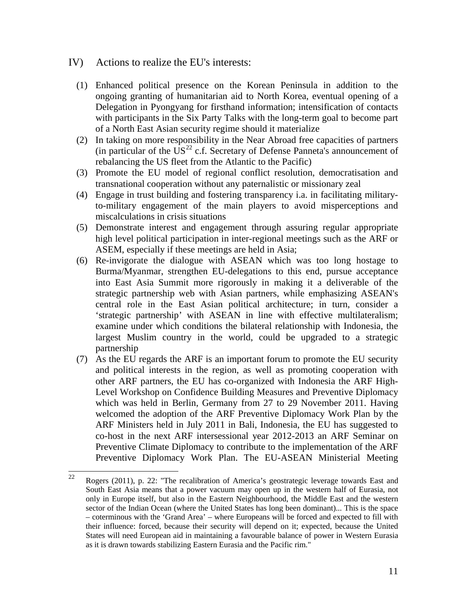- IV) Actions to realize the EU's interests:
	- (1) Enhanced political presence on the Korean Peninsula in addition to the ongoing granting of humanitarian aid to North Korea, eventual opening of a Delegation in Pyongyang for firsthand information; intensification of contacts with participants in the Six Party Talks with the long-term goal to become part of a North East Asian security regime should it materialize
	- (2) In taking on more responsibility in the Near Abroad free capacities of partners (in particular of the  $US^{22}$  $US^{22}$  $US^{22}$  c.f. Secretary of Defense Panneta's announcement of rebalancing the US fleet from the Atlantic to the Pacific)
	- (3) Promote the EU model of regional conflict resolution, democratisation and transnational cooperation without any paternalistic or missionary zeal
	- (4) Engage in trust building and fostering transparency i.a. in facilitating militaryto-military engagement of the main players to avoid misperceptions and miscalculations in crisis situations
	- (5) Demonstrate interest and engagement through assuring regular appropriate high level political participation in inter-regional meetings such as the ARF or ASEM, especially if these meetings are held in Asia;
	- (6) Re-invigorate the dialogue with ASEAN which was too long hostage to Burma/Myanmar, strengthen EU-delegations to this end, pursue acceptance into East Asia Summit more rigorously in making it a deliverable of the strategic partnership web with Asian partners, while emphasizing ASEAN's central role in the East Asian political architecture; in turn, consider a 'strategic partnership' with ASEAN in line with effective multilateralism; examine under which conditions the bilateral relationship with Indonesia, the largest Muslim country in the world, could be upgraded to a strategic partnership
	- (7) As the EU regards the ARF is an important forum to promote the EU security and political interests in the region, as well as promoting cooperation with other ARF partners, the EU has co-organized with Indonesia the ARF High-Level Workshop on Confidence Building Measures and Preventive Diplomacy which was held in Berlin, Germany from 27 to 29 November 2011. Having welcomed the adoption of the ARF Preventive Diplomacy Work Plan by the ARF Ministers held in July 2011 in Bali, Indonesia, the EU has suggested to co-host in the next ARF intersessional year 2012-2013 an ARF Seminar on Preventive Climate Diplomacy to contribute to the implementation of the ARF Preventive Diplomacy Work Plan. The EU-ASEAN Ministerial Meeting

<span id="page-10-0"></span> $22$  Rogers (2011), p. 22: "The recalibration of America's geostrategic leverage towards East and South East Asia means that a power vacuum may open up in the western half of Eurasia, not only in Europe itself, but also in the Eastern Neighbourhood, the Middle East and the western sector of the Indian Ocean (where the United States has long been dominant)... This is the space – coterminous with the 'Grand Area' – where Europeans will be forced and expected to fill with their influence: forced, because their security will depend on it; expected, because the United States will need European aid in maintaining a favourable balance of power in Western Eurasia as it is drawn towards stabilizing Eastern Eurasia and the Pacific rim."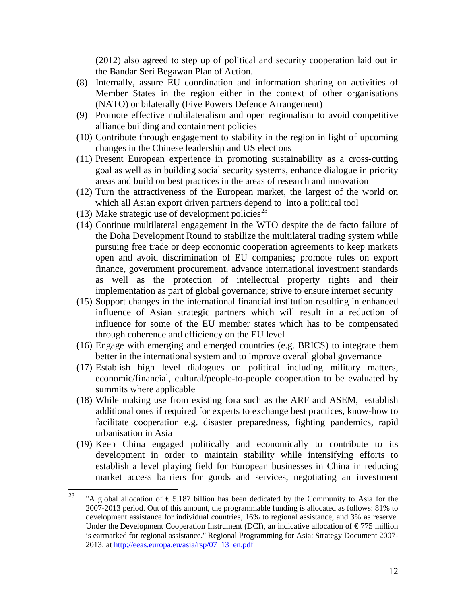(2012) also agreed to step up of political and security cooperation laid out in the Bandar Seri Begawan Plan of Action.

- (8) Internally, assure EU coordination and information sharing on activities of Member States in the region either in the context of other organisations (NATO) or bilaterally (Five Powers Defence Arrangement)
- (9) Promote effective multilateralism and open regionalism to avoid competitive alliance building and containment policies
- (10) Contribute through engagement to stability in the region in light of upcoming changes in the Chinese leadership and US elections
- (11) Present European experience in promoting sustainability as a cross-cutting goal as well as in building social security systems, enhance dialogue in priority areas and build on best practices in the areas of research and innovation
- (12) Turn the attractiveness of the European market, the largest of the world on which all Asian export driven partners depend to into a political tool
- (13) Make strategic use of development policies<sup>[23](#page-11-0)</sup>
- (14) Continue multilateral engagement in the WTO despite the de facto failure of the Doha Development Round to stabilize the multilateral trading system while pursuing free trade or deep economic cooperation agreements to keep markets open and avoid discrimination of EU companies; promote rules on export finance, government procurement, advance international investment standards as well as the protection of intellectual property rights and their implementation as part of global governance; strive to ensure internet security
- (15) Support changes in the international financial institution resulting in enhanced influence of Asian strategic partners which will result in a reduction of influence for some of the EU member states which has to be compensated through coherence and efficiency on the EU level
- (16) Engage with emerging and emerged countries (e.g. BRICS) to integrate them better in the international system and to improve overall global governance
- (17) Establish high level dialogues on political including military matters, economic/financial, cultural/people-to-people cooperation to be evaluated by summits where applicable
- (18) While making use from existing fora such as the ARF and ASEM, establish additional ones if required for experts to exchange best practices, know-how to facilitate cooperation e.g. disaster preparedness, fighting pandemics, rapid urbanisation in Asia
- (19) Keep China engaged politically and economically to contribute to its development in order to maintain stability while intensifying efforts to establish a level playing field for European businesses in China in reducing market access barriers for goods and services, negotiating an investment

<span id="page-11-0"></span><sup>&</sup>lt;sup>23</sup> "A global allocation of  $\epsilon$  5.187 billion has been dedicated by the Community to Asia for the 2007-2013 period. Out of this amount, the programmable funding is allocated as follows: 81% to development assistance for individual countries, 16% to regional assistance, and 3% as reserve. Under the Development Cooperation Instrument (DCI), an indicative allocation of  $\epsilon$ 775 million is earmarked for regional assistance." Regional Programming for Asia: Strategy Document 2007 2013; at [http://eeas.europa.eu/asia/rsp/07\\_13\\_en.pdf](http://eeas.europa.eu/asia/rsp/07_13_en.pdf)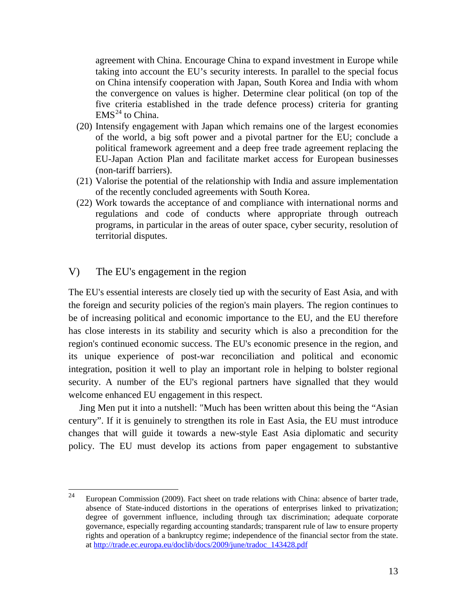agreement with China. Encourage China to expand investment in Europe while taking into account the EU's security interests. In parallel to the special focus on China intensify cooperation with Japan, South Korea and India with whom the convergence on values is higher. Determine clear political (on top of the five criteria established in the trade defence process) criteria for granting  $EMS<sup>24</sup>$  $EMS<sup>24</sup>$  $EMS<sup>24</sup>$  to China.

- (20) Intensify engagement with Japan which remains one of the largest economies of the world, a big soft power and a pivotal partner for the EU; conclude a political framework agreement and a deep free trade agreement replacing the EU-Japan Action Plan and facilitate market access for European businesses (non-tariff barriers).
- (21) Valorise the potential of the relationship with India and assure implementation of the recently concluded agreements with South Korea.
- (22) Work towards the acceptance of and compliance with international norms and regulations and code of conducts where appropriate through outreach programs, in particular in the areas of outer space, cyber security, resolution of territorial disputes.

#### V) The EU's engagement in the region

The EU's essential interests are closely tied up with the security of East Asia, and with the foreign and security policies of the region's main players. The region continues to be of increasing political and economic importance to the EU, and the EU therefore has close interests in its stability and security which is also a precondition for the region's continued economic success. The EU's economic presence in the region, and its unique experience of post-war reconciliation and political and economic integration, position it well to play an important role in helping to bolster regional security. A number of the EU's regional partners have signalled that they would welcome enhanced EU engagement in this respect.

Jing Men put it into a nutshell: "Much has been written about this being the "Asian century". If it is genuinely to strengthen its role in East Asia, the EU must introduce changes that will guide it towards a new-style East Asia diplomatic and security policy. The EU must develop its actions from paper engagement to substantive

<span id="page-12-0"></span><sup>&</sup>lt;sup>24</sup> European Commission (2009). Fact sheet on trade relations with China: absence of barter trade, absence of State-induced distortions in the operations of enterprises linked to privatization; degree of government influence, including through tax discrimination; adequate corporate governance, especially regarding accounting standards; transparent rule of law to ensure property rights and operation of a bankruptcy regime; independence of the financial sector from the state. at [http://trade.ec.europa.eu/doclib/docs/2009/june/tradoc\\_143428.pdf](http://trade.ec.europa.eu/doclib/docs/2009/june/tradoc_143428.pdf)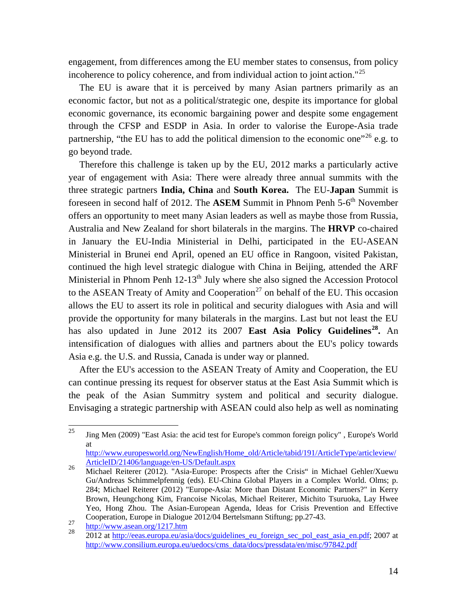engagement, from differences among the EU member states to consensus, from policy incoherence to policy coherence, and from individual action to joint action."<sup>[25](#page-13-0)</sup>

The EU is aware that it is perceived by many Asian partners primarily as an economic factor, but not as a political/strategic one, despite its importance for global economic governance, its economic bargaining power and despite some engagement through the CFSP and ESDP in Asia. In order to valorise the Europe-Asia trade partnership, "the EU has to add the political dimension to the economic one"<sup>[26](#page-13-1)</sup> e.g. to go beyond trade.

Therefore this challenge is taken up by the EU, 2012 marks a particularly active year of engagement with Asia: There were already three annual summits with the three strategic partners **India, China** and **South Korea.** The EU-**Japan** Summit is foreseen in second half of 2012. The **ASEM** Summit in Phnom Penh 5-6<sup>th</sup> November offers an opportunity to meet many Asian leaders as well as maybe those from Russia, Australia and New Zealand for short bilaterals in the margins. The **HRVP** co-chaired in January the EU-India Ministerial in Delhi, participated in the EU-ASEAN Ministerial in Brunei end April, opened an EU office in Rangoon, visited Pakistan, continued the high level strategic dialogue with China in Beijing, attended the ARF Ministerial in Phnom Penh  $12-13<sup>th</sup>$  July where she also signed the Accession Protocol to the ASEAN Treaty of Amity and Cooperation<sup>[27](#page-13-2)</sup> on behalf of the EU. This occasion allows the EU to assert its role in political and security dialogues with Asia and will provide the opportunity for many bilaterals in the margins. Last but not least the EU has also updated in June 2012 its 2007 **East Asia Policy Gu**i**delines[28](#page-13-3) .** An intensification of dialogues with allies and partners about the EU's policy towards Asia e.g. the U.S. and Russia, Canada is under way or planned.

After the EU's accession to the ASEAN Treaty of Amity and Cooperation, the EU can continue pressing its request for observer status at the East Asia Summit which is the peak of the Asian Summitry system and political and security dialogue. Envisaging a strategic partnership with ASEAN could also help as well as nominating

<span id="page-13-0"></span> $\frac{25}{25}$  Jing Men (2009) "East Asia: the acid test for Europe's common foreign policy", Europe's World at

[http://www.europesworld.org/NewEnglish/Home\\_old/Article/tabid/191/ArticleType/articleview/](http://www.europesworld.org/NewEnglish/Home_old/Article/tabid/191/ArticleType/articleview/ArticleID/21406/language/en-US/Default.aspx)<br>ArticleID/21406/language/en-US/Default.aspx

<span id="page-13-1"></span><sup>&</sup>lt;sup>26</sup> Michael Reiterer (2012). "Asia-Europe: Prospects after the Crisis" in Michael Gehler/Xuewu Gu/Andreas Schimmelpfennig (eds). EU-China Global Players in a Complex World. Olms; p. 284; Michael Reiterer (2012) "Europe-Asia: More than Distant Economic Partners?" in Kerry Brown, Heungchong Kim, Francoise Nicolas, Michael Reiterer, Michito Tsuruoka, Lay Hwee Yeo, Hong Zhou. The Asian-European Agenda, Ideas for Crisis Prevention and Effective Cooperation, Europe in Dialogue 2012/04 Bertelsmann Stiftung; pp.27-43.

<span id="page-13-3"></span><span id="page-13-2"></span>

<sup>27</sup> <http://www.asean.org/1217.htm><br>
28 2012 at [http://eeas.europa.eu/asia/docs/guidelines\\_eu\\_foreign\\_sec\\_pol\\_east\\_asia\\_en.pdf;](http://eeas.europa.eu/asia/docs/guidelines_eu_foreign_sec_pol_east_asia_en.pdf) 2007 at [http://www.consilium.europa.eu/uedocs/cms\\_data/docs/pressdata/en/misc/97842.pdf](http://www.consilium.europa.eu/uedocs/cms_data/docs/pressdata/en/misc/97842.pdf)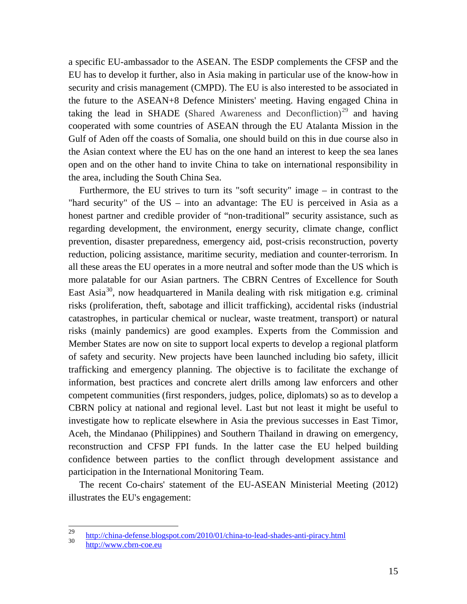a specific EU-ambassador to the ASEAN. The ESDP complements the CFSP and the EU has to develop it further, also in Asia making in particular use of the know-how in security and crisis management (CMPD). The EU is also interested to be associated in the future to the ASEAN+8 Defence Ministers' meeting. Having engaged China in taking the lead in SHADE (Shared Awareness and Deconfliction)<sup>[29](#page-14-0)</sup> and having cooperated with some countries of ASEAN through the EU Atalanta Mission in the Gulf of Aden off the coasts of Somalia, one should build on this in due course also in the Asian context where the EU has on the one hand an interest to keep the sea lanes open and on the other hand to invite China to take on international responsibility in the area, including the South China Sea.

Furthermore, the EU strives to turn its "soft security" image – in contrast to the "hard security" of the  $US - into$  an advantage: The EU is perceived in Asia as a honest partner and credible provider of "non-traditional" security assistance, such as regarding development, the environment, energy security, climate change, conflict prevention, disaster preparedness, emergency aid, post-crisis reconstruction, poverty reduction, policing assistance, maritime security, mediation and counter-terrorism. In all these areas the EU operates in a more neutral and softer mode than the US which is more palatable for our Asian partners. The CBRN Centres of Excellence for South East Asia<sup>[30](#page-14-1)</sup>, now headquartered in Manila dealing with risk mitigation e.g. criminal risks (proliferation, theft, sabotage and illicit trafficking), accidental risks (industrial catastrophes, in particular chemical or nuclear, waste treatment, transport) or natural risks (mainly pandemics) are good examples. Experts from the Commission and Member States are now on site to support local experts to develop a regional platform of safety and security. New projects have been launched including bio safety, illicit trafficking and emergency planning. The objective is to facilitate the exchange of information, best practices and concrete alert drills among law enforcers and other competent communities (first responders, judges, police, diplomats) so as to develop a CBRN policy at national and regional level. Last but not least it might be useful to investigate how to replicate elsewhere in Asia the previous successes in East Timor, Aceh, the Mindanao (Philippines) and Southern Thailand in drawing on emergency, reconstruction and CFSP FPI funds. In the latter case the EU helped building confidence between parties to the conflict through development assistance and participation in the International Monitoring Team.

The recent Co-chairs' statement of the EU-ASEAN Ministerial Meeting (2012) illustrates the EU's engagement:

<span id="page-14-1"></span><span id="page-14-0"></span><sup>&</sup>lt;sup>29</sup> <http://china-defense.blogspot.com/2010/01/china-to-lead-shades-anti-piracy.html><br>http://www.cbrn-coe.eu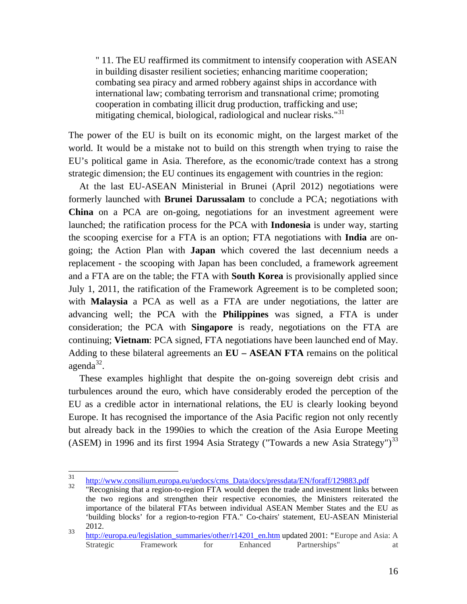" 11. The EU reaffirmed its commitment to intensify cooperation with ASEAN in building disaster resilient societies; enhancing maritime cooperation; combating sea piracy and armed robbery against ships in accordance with international law; combating terrorism and transnational crime; promoting cooperation in combating illicit drug production, trafficking and use; mitigating chemical, biological, radiological and nuclear risks."<sup>[31](#page-15-0)</sup>

The power of the EU is built on its economic might, on the largest market of the world. It would be a mistake not to build on this strength when trying to raise the EU's political game in Asia. Therefore, as the economic/trade context has a strong strategic dimension; the EU continues its engagement with countries in the region:

At the last EU-ASEAN Ministerial in Brunei (April 2012) negotiations were formerly launched with **Brunei Darussalam** to conclude a PCA; negotiations with **China** on a PCA are on-going, negotiations for an investment agreement were launched; the ratification process for the PCA with **Indonesia** is under way, starting the scooping exercise for a FTA is an option; FTA negotiations with **India** are ongoing; the Action Plan with **Japan** which covered the last decennium needs a replacement - the scooping with Japan has been concluded, a framework agreement and a FTA are on the table; the FTA with **South Korea** is provisionally applied since July 1, 2011, the ratification of the Framework Agreement is to be completed soon; with **Malaysia** a PCA as well as a FTA are under negotiations, the latter are advancing well; the PCA with the **Philippines** was signed, a FTA is under consideration; the PCA with **Singapore** is ready, negotiations on the FTA are continuing; **Vietnam**: PCA signed, FTA negotiations have been launched end of May. Adding to these bilateral agreements an **EU – ASEAN FTA** remains on the political  $a$ genda $32$ .

These examples highlight that despite the on-going sovereign debt crisis and turbulences around the euro, which have considerably eroded the perception of the EU as a credible actor in international relations, the EU is clearly looking beyond Europe. It has recognised the importance of the Asia Pacific region not only recently but already back in the 1990ies to which the creation of the Asia Europe Meeting (ASEM) in 1996 and its first 1994 Asia Strategy ("Towards a new Asia Strategy")<sup>[33](#page-15-2)</sup>

<span id="page-15-0"></span><sup>&</sup>lt;sup>31</sup> [http://www.consilium.europa.eu/uedocs/cms\\_Data/docs/pressdata/EN/foraff/129883.pdf](http://www.consilium.europa.eu/uedocs/cms_Data/docs/pressdata/EN/foraff/129883.pdf) "Recognising that a region-to-region FTA would deepen the trade and investment links between

<span id="page-15-1"></span>the two regions and strengthen their respective economies, the Ministers reiterated the importance of the bilateral FTAs between individual ASEAN Member States and the EU as 'building blocks' for a region-to-region FTA." Co-chairs' statement, EU-ASEAN Ministerial 2012.

<span id="page-15-2"></span><sup>&</sup>lt;sup>33</sup> [http://europa.eu/legislation\\_summaries/other/r14201\\_en.htm](http://europa.eu/legislation_summaries/other/r14201_en.htm) updated 2001: "Europe and Asia: A<br>Strategic Framework for Enhanced Partnerships" at Strategic Framework for Enhanced Partnerships" at